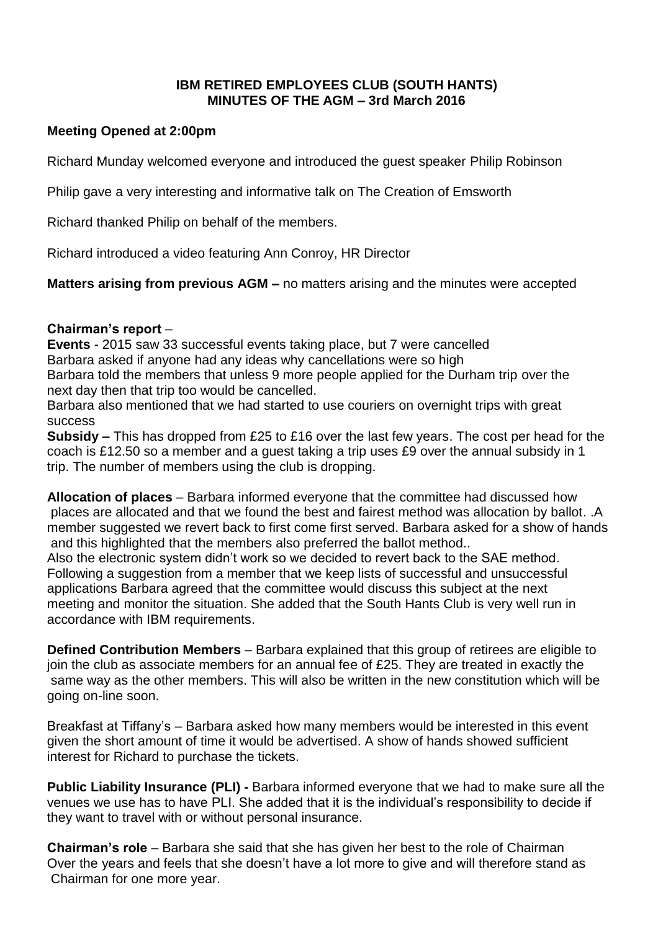## **IBM RETIRED EMPLOYEES CLUB (SOUTH HANTS) MINUTES OF THE AGM – 3rd March 2016**

## **Meeting Opened at 2:00pm**

Richard Munday welcomed everyone and introduced the guest speaker Philip Robinson

Philip gave a very interesting and informative talk on The Creation of Emsworth

Richard thanked Philip on behalf of the members.

Richard introduced a video featuring Ann Conroy, HR Director

**Matters arising from previous AGM –** no matters arising and the minutes were accepted

#### **Chairman's report** –

**Events** - 2015 saw 33 successful events taking place, but 7 were cancelled Barbara asked if anyone had any ideas why cancellations were so high Barbara told the members that unless 9 more people applied for the Durham trip over the next day then that trip too would be cancelled.

Barbara also mentioned that we had started to use couriers on overnight trips with great success

**Subsidy –** This has dropped from £25 to £16 over the last few years. The cost per head for the coach is £12.50 so a member and a guest taking a trip uses £9 over the annual subsidy in 1 trip. The number of members using the club is dropping.

**Allocation of places** – Barbara informed everyone that the committee had discussed how places are allocated and that we found the best and fairest method was allocation by ballot. .A member suggested we revert back to first come first served. Barbara asked for a show of hands and this highlighted that the members also preferred the ballot method..

Also the electronic system didn't work so we decided to revert back to the SAE method. Following a suggestion from a member that we keep lists of successful and unsuccessful applications Barbara agreed that the committee would discuss this subject at the next meeting and monitor the situation. She added that the South Hants Club is very well run in accordance with IBM requirements.

**Defined Contribution Members** – Barbara explained that this group of retirees are eligible to join the club as associate members for an annual fee of £25. They are treated in exactly the same way as the other members. This will also be written in the new constitution which will be going on-line soon.

Breakfast at Tiffany's – Barbara asked how many members would be interested in this event given the short amount of time it would be advertised. A show of hands showed sufficient interest for Richard to purchase the tickets.

**Public Liability Insurance (PLI) -** Barbara informed everyone that we had to make sure all the venues we use has to have PLI. She added that it is the individual's responsibility to decide if they want to travel with or without personal insurance.

**Chairman's role** – Barbara she said that she has given her best to the role of Chairman Over the years and feels that she doesn't have a lot more to give and will therefore stand as Chairman for one more year.